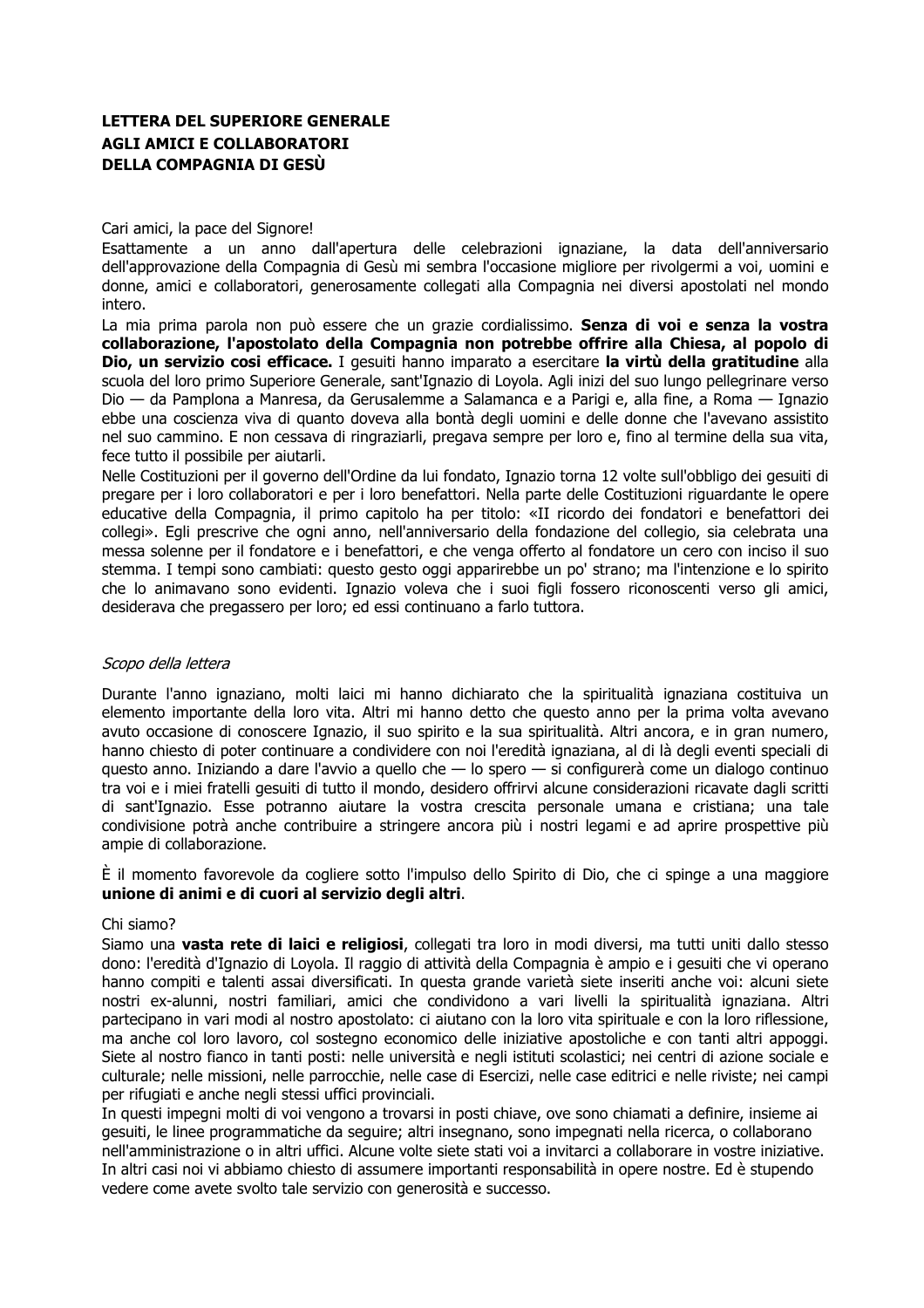# **LETTERA DEL SUPERIORE GENERALE AGLI AMICI E COLLABORATORI DELLA COMPAGNIA DI GESÙ**

## Cari amici, la pace del Signore!

Esattamente a un anno dall'apertura delle celebrazioni ignaziane. la data dell'anniversario dell'approvazione della Compagnia di Gesù mi sembra l'occasione migliore per rivolgermi a voi, uomini e donne, amici e collaboratori, generosamente collegati alla Compagnia nei diversi apostolati nel mondo intero.

La mia prima parola non può essere che un grazie cordialissimo. Senza di voi e senza la vostra collaborazione, l'apostolato della Compagnia non potrebbe offrire alla Chiesa, al popolo di Dio, un servizio cosi efficace. I gesuiti hanno imparato a esercitare la virtù della gratitudine alla scuola del loro primo Superiore Generale, sant'Ignazio di Loyola. Agli inizi del suo lungo pellegrinare verso Dio — da Pamplona a Manresa, da Gerusalemme a Salamanca e a Parigi e, alla fine, a Roma — Ignazio ebbe una coscienza viva di quanto doveva alla bontà degli uomini e delle donne che l'avevano assistito nel suo cammino. E non cessava di ringraziarli, pregava sempre per loro e, fino al termine della sua vita, fece tutto il possibile per aiutarli.

Nelle Costituzioni per il governo dell'Ordine da lui fondato, Ignazio torna 12 volte sull'obbligo dei gesuiti di pregare per i loro collaboratori e per i loro benefattori. Nella parte delle Costituzioni riguardante le opere educative della Compagnia, il primo capitolo ha per titolo: «II ricordo dei fondatori e benefattori dei collegi». Egli prescrive che ogni anno, nell'anniversario della fondazione del collegio, sia celebrata una messa solenne per il fondatore e i benefattori, e che venga offerto al fondatore un cero con inciso il suo stemma. I tempi sono cambiati: questo gesto oggi apparirebbe un po' strano; ma l'intenzione e lo spirito che lo animavano sono evidenti. Ignazio voleva che i suoi figli fossero riconoscenti verso gli amici, desiderava che pregassero per loro; ed essi continuano a farlo tuttora.

# Scopo della lettera

Durante l'anno ignaziano, molti laici mi hanno dichiarato che la spiritualità ignaziana costituiva un elemento importante della loro vita. Altri mi hanno detto che questo anno per la prima volta avevano avuto occasione di conoscere Ignazio, il suo spirito e la sua spiritualità. Altri ancora, e in gran numero, hanno chiesto di poter continuare a condividere con noi l'eredità ignaziana, al di là degli eventi speciali di questo anno. Iniziando a dare l'avvio a quello che - lo spero - si configurerà come un dialogo continuo tra voi e i miei fratelli gesuiti di tutto il mondo, desidero offrirvi alcune considerazioni ricavate dagli scritti di sant'Ignazio. Esse potranno aiutare la vostra crescita personale umana e cristiana: una tale condivisione potrà anche contribuire a stringere ancora più i nostri legami e ad aprire prospettive più ampie di collaborazione.

È il momento favorevole da cogliere sotto l'impulso dello Spirito di Dio, che ci spinge a una maggiore unione di animi e di cuori al servizio degli altri.

# Chi siamo?

Siamo una vasta rete di laici e religiosi, collegati tra loro in modi diversi, ma tutti uniti dallo stesso dono: l'eredità d'Ignazio di Lovola. Il raggio di attività della Compagnia è ampio e i gesuiti che vi operano hanno compiti e talenti assai diversificati. In questa grande varietà siete inseriti anche voi: alcuni siete nostri ex-alunni, nostri familiari, amici che condividono a vari livelli la spiritualità ignaziana. Altri partecipano in vari modi al nostro apostolato: ci aiutano con la loro vita spirituale e con la loro riflessione, ma anche col loro lavoro, col sostegno economico delle iniziative apostoliche e con tanti altri appoggi. Siete al nostro fianco in tanti posti: nelle università e negli istituti scolastici; nei centri di azione sociale e culturale; nelle missioni, nelle parrocchie, nelle case di Esercizi, nelle case editrici e nelle riviste; nei campi per rifugiati e anche negli stessi uffici provinciali.

In questi impegni molti di voi vengono a trovarsi in posti chiave, ove sono chiamati a definire, insieme ai gesuiti, le linee programmatiche da seguire; altri insegnano, sono impegnati nella ricerca, o collaborano nell'amministrazione o in altri uffici. Alcune volte siete stati voi a invitarci a collaborare in vostre iniziative. In altri casi noi vi abbiamo chiesto di assumere importanti responsabilità in opere nostre. Ed è stupendo vedere come avete svolto tale servizio con generosità e successo.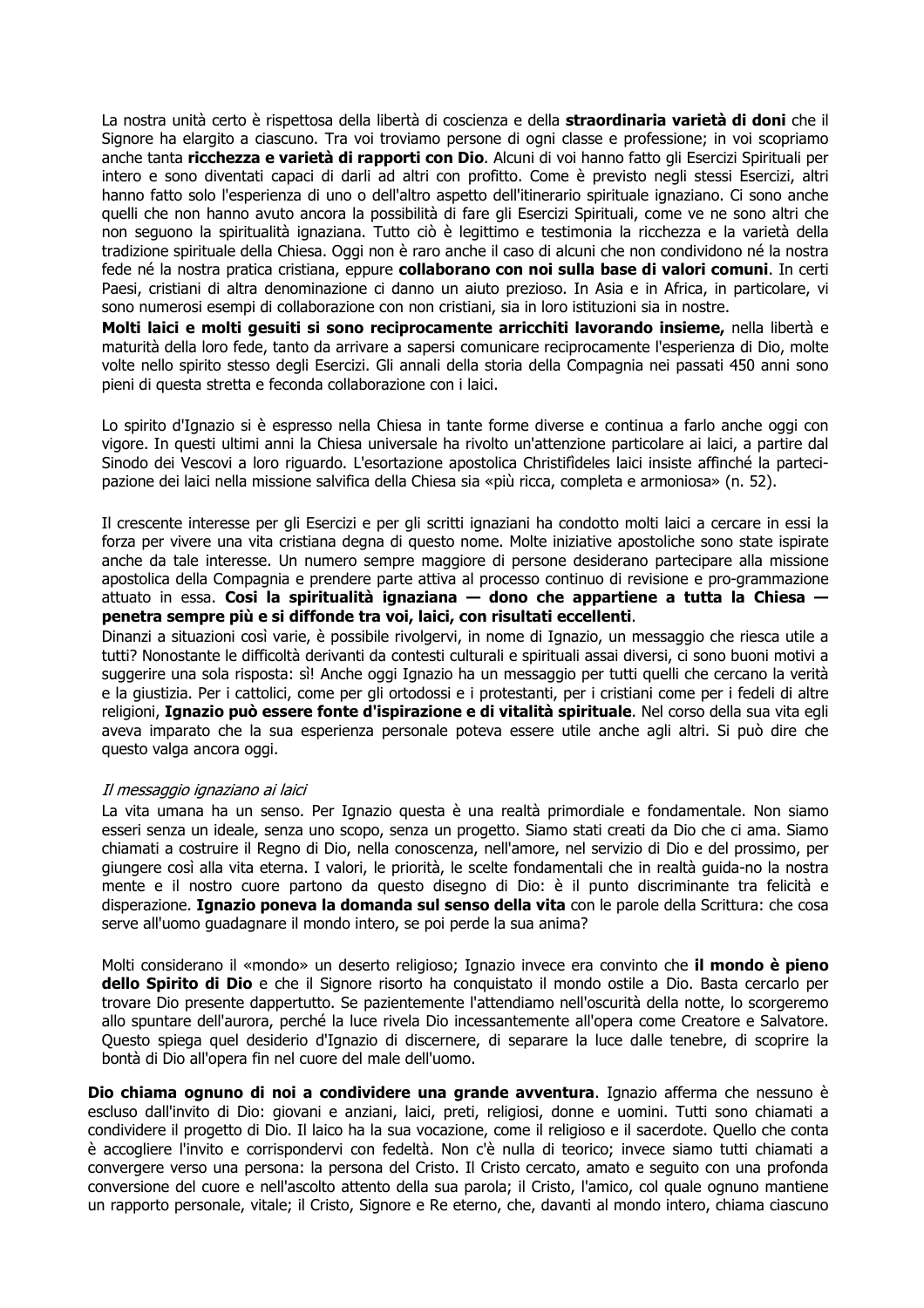La nostra unità certo è rispettosa della libertà di coscienza e della straordinaria varietà di doni che il Signore ha elargito a ciascuno. Tra voi troviamo persone di ogni classe e professione; in voi scopriamo anche tanta ricchezza e varietà di rapporti con Dio. Alcuni di voi hanno fatto gli Esercizi Spirituali per intero e sono diventati capaci di darli ad altri con profitto. Come è previsto negli stessi Esercizi, altri hanno fatto solo l'esperienza di uno o dell'altro aspetto dell'itinerario spirituale ignaziano. Ci sono anche quelli che non hanno avuto ancora la possibilità di fare gli Esercizi Spirituali, come ve ne sono altri che non seguono la spiritualità ignaziana. Tutto ciò è legittimo e testimonia la ricchezza e la varietà della tradizione spirituale della Chiesa. Oggi non è raro anche il caso di alcuni che non condividono né la nostra fede né la nostra pratica cristiana, eppure collaborano con noi sulla base di valori comuni. In certi Paesi, cristiani di altra denominazione ci danno un aiuto prezioso. In Asia e in Africa, in particolare, vi sono numerosi esempi di collaborazione con non cristiani, sia in loro istituzioni sia in nostre.

Molti laici e molti gesuiti si sono reciprocamente arricchiti lavorando insieme, nella libertà e maturità della loro fede, tanto da arrivare a sapersi comunicare reciprocamente l'esperienza di Dio, molte volte nello spirito stesso degli Esercizi. Gli annali della storia della Compagnia nei passati 450 anni sono pieni di questa stretta e feconda collaborazione con i laici.

Lo spirito d'Ignazio si è espresso nella Chiesa in tante forme diverse e continua a farlo anche oggi con vigore. In questi ultimi anni la Chiesa universale ha rivolto un'attenzione particolare ai laici, a partire dal Sinodo dei Vescovi a loro riguardo. L'esortazione apostolica Christifideles laici insiste affinché la partecipazione dei laici nella missione salvifica della Chiesa sia «più ricca, completa e armoniosa» (n. 52).

Il crescente interesse per gli Esercizi e per gli scritti ignaziani ha condotto molti laici a cercare in essi la forza per vivere una vita cristiana degna di questo nome. Molte iniziative apostoliche sono state ispirate anche da tale interesse. Un numero sempre maggiore di persone desiderano partecipare alla missione apostolica della Compagnia e prendere parte attiva al processo continuo di revisione e pro-grammazione attuato in essa. Cosi la spiritualità ignaziana – dono che appartiene a tutta la Chiesa – penetra sempre più e si diffonde tra voi, laici, con risultati eccellenti.

Dinanzi a situazioni così varie, è possibile rivolgervi, in nome di Ignazio, un messaggio che riesca utile a tutti? Nonostante le difficoltà derivanti da contesti culturali e spirituali assai diversi, ci sono buoni motivi a suggerire una sola risposta: sì! Anche oggi Ignazio ha un messaggio per tutti quelli che cercano la verità e la giustizia. Per i cattolici, come per gli ortodossi e i protestanti, per i cristiani come per i fedeli di altre religioni, Ignazio può essere fonte d'ispirazione e di vitalità spirituale. Nel corso della sua vita egli aveva imparato che la sua esperienza personale poteva essere utile anche agli altri. Si può dire che questo valga ancora oggi.

#### Il messaggio ignaziano ai laici

La vita umana ha un senso. Per Ignazio questa è una realtà primordiale e fondamentale. Non siamo esseri senza un ideale, senza uno scopo, senza un progetto. Siamo stati creati da Dio che ci ama. Siamo chiamati a costruire il Regno di Dio, nella conoscenza, nell'amore, nel servizio di Dio e del prossimo, per giungere così alla vita eterna. I valori, le priorità, le scelte fondamentali che in realtà guida-no la nostra mente e il nostro cuore partono da questo disegno di Dio: è il punto discriminante tra felicità e disperazione. Ignazio poneva la domanda sul senso della vita con le parole della Scrittura: che cosa serve all'uomo quadagnare il mondo intero, se poi perde la sua anima?

Molti considerano il «mondo» un deserto religioso; Ignazio invece era convinto che il mondo è pieno dello Spirito di Dio e che il Signore risorto ha conquistato il mondo ostile a Dio. Basta cercarlo per trovare Dio presente dappertutto. Se pazientemente l'attendiamo nell'oscurità della notte, lo scorgeremo allo spuntare dell'aurora, perché la luce rivela Dio incessantemente all'opera come Creatore e Salvatore. Questo spiega quel desiderio d'Ignazio di discernere, di separare la luce dalle tenebre, di scoprire la bontà di Dio all'opera fin nel cuore del male dell'uomo.

Dio chiama ognuno di noi a condividere una grande avventura. Ignazio afferma che nessuno è escluso dall'invito di Dio: giovani e anziani, laici, preti, religiosi, donne e uomini. Tutti sono chiamati a condividere il progetto di Dio. Il laico ha la sua vocazione, come il religioso e il sacerdote. Quello che conta è accogliere l'invito e corrispondervi con fedeltà. Non c'è nulla di teorico: invece siamo tutti chiamati a convergere verso una persona: la persona del Cristo. Il Cristo cercato, amato e seguito con una profonda conversione del cuore e nell'ascolto attento della sua parola; il Cristo, l'amico, col quale ognuno mantiene un rapporto personale, vitale; il Cristo, Signore e Re eterno, che, davanti al mondo intero, chiama ciascuno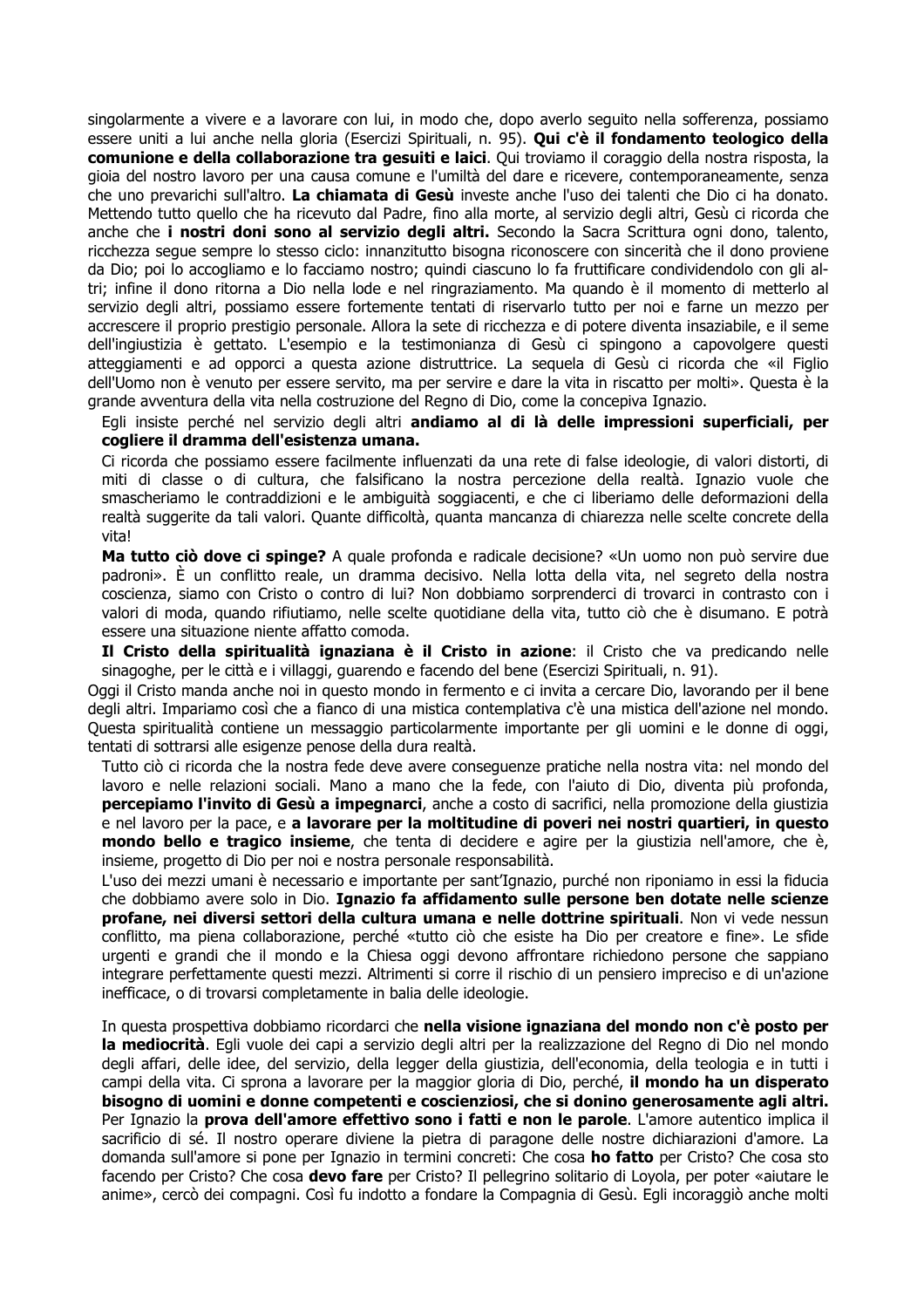singolarmente a vivere e a lavorare con lui, in modo che, dopo averlo seguito nella sofferenza, possiamo essere uniti a lui anche nella gloria (Esercizi Spirituali, n. 95). Qui c'è il fondamento teologico della comunione e della collaborazione tra gesuiti e laici. Qui troviamo il coraggio della nostra risposta, la gioia del nostro lavoro per una causa comune e l'umiltà del dare e ricevere, contemporaneamente, senza che uno prevarichi sull'altro. La chiamata di Gesù investe anche l'uso dei talenti che Dio ci ha donato. Mettendo tutto quello che ha ricevuto dal Padre, fino alla morte, al servizio degli altri, Gesù ci ricorda che anche che i nostri doni sono al servizio degli altri. Secondo la Sacra Scrittura ogni dono, talento, ricchezza seque sempre lo stesso ciclo: innanzitutto bisogna riconoscere con sincerità che il dono proviene da Dio; poi lo accogliamo e lo facciamo nostro; guindi ciascuno lo fa fruttificare condividendolo con gli altri; infine il dono ritorna a Dio nella lode e nel ringraziamento. Ma quando è il momento di metterlo al servizio degli altri, possiamo essere fortemente tentati di riservarlo tutto per noi e farne un mezzo per accrescere il proprio prestigio personale. Allora la sete di ricchezza e di potere diventa insaziabile, e il seme dell'ingiustizia è gettato. L'esempio e la testimonianza di Gesù ci spingono a capovolgere questi atteggiamenti e ad opporci a questa azione distruttrice. La sequela di Gesù ci ricorda che «il Figlio dell'Uomo non è venuto per essere servito, ma per servire e dare la vita in riscatto per molti». Questa è la grande avventura della vita nella costruzione del Regno di Dio, come la concepiva Ignazio.

Egli insiste perché nel servizio degli altri andiamo al di là delle impressioni superficiali, per cogliere il dramma dell'esistenza umana.

Ci ricorda che possiamo essere facilmente influenzati da una rete di false ideologie, di valori distorti, di miti di classe o di cultura, che falsificano la nostra percezione della realtà. Ignazio vuole che smascheriamo le contraddizioni e le ambiguità soggiacenti, e che ci liberiamo delle deformazioni della realtà suggerite da tali valori. Quante difficoltà, quanta mancanza di chiarezza nelle scelte concrete della vita!

Ma tutto ciò dove ci spinge? A quale profonda e radicale decisione? «Un uomo non può servire due padroni». È un conflitto reale, un dramma decisivo. Nella lotta della vita, nel segreto della nostra coscienza, siamo con Cristo o contro di lui? Non dobbiamo sorprenderci di trovarci in contrasto con i valori di moda, quando rifiutiamo, nelle scelte quotidiane della vita, tutto ciò che è disumano. E potrà essere una situazione niente affatto comoda.

Il Cristo della spiritualità ignaziana è il Cristo in azione: il Cristo che va predicando nelle sinagoghe, per le città e i villaggi, guarendo e facendo del bene (Esercizi Spirituali, n. 91).

Oggi il Cristo manda anche noi in questo mondo in fermento e ci invita a cercare Dio, lavorando per il bene degli altri. Impariamo così che a fianco di una mistica contemplativa c'è una mistica dell'azione nel mondo. Questa spiritualità contiene un messaggio particolarmente importante per gli uomini e le donne di oggi, tentati di sottrarsi alle esigenze penose della dura realtà.

Tutto ciò ci ricorda che la nostra fede deve avere conseguenze pratiche nella nostra vita: nel mondo del lavoro e nelle relazioni sociali. Mano a mano che la fede, con l'aiuto di Dio, diventa più profonda, percepiamo l'invito di Gesù a impegnarci, anche a costo di sacrifici, nella promozione della giustizia e nel lavoro per la pace, e a lavorare per la moltitudine di poveri nei nostri quartieri, in questo mondo bello e tragico insieme, che tenta di decidere e agire per la giustizia nell'amore, che è, insieme, progetto di Dio per noi e nostra personale responsabilità.

L'uso dei mezzi umani è necessario e importante per sant'Ignazio, purché non riponiamo in essi la fiducia che dobbiamo avere solo in Dio. Ignazio fa affidamento sulle persone ben dotate nelle scienze profane, nei diversi settori della cultura umana e nelle dottrine spirituali. Non vi vede nessun conflitto, ma piena collaborazione, perché «tutto ciò che esiste ha Dio per creatore e fine». Le sfide urgenti e grandi che il mondo e la Chiesa oggi devono affrontare richiedono persone che sappiano integrare perfettamente questi mezzi. Altrimenti si corre il rischio di un pensiero impreciso e di un'azione inefficace, o di trovarsi completamente in balia delle ideologie.

In questa prospettiva dobbiamo ricordarci che nella visione ignaziana del mondo non c'è posto per la mediocrità. Egli vuole dei capi a servizio degli altri per la realizzazione del Regno di Dio nel mondo degli affari, delle idee, del servizio, della legger della giustizia, dell'economia, della teologia e in tutti i campi della vita. Ci sprona a lavorare per la maggior gloria di Dio, perché, il mondo ha un disperato bisogno di uomini e donne competenti e coscienziosi, che si donino generosamente agli altri. Per Ignazio la **prova dell'amore effettivo sono i fatti e non le parole**. L'amore autentico implica il sacrificio di sé. Il nostro operare diviene la pietra di paragone delle nostre dichiarazioni d'amore. La domanda sull'amore si pone per Ignazio in termini concreti: Che cosa ho fatto per Cristo? Che cosa sto facendo per Cristo? Che cosa **devo fare** per Cristo? Il pellegrino solitario di Loyola, per poter «aiutare le anime», cercò dei compagni. Così fu indotto a fondare la Compagnia di Gesù. Egli incoraggiò anche molti